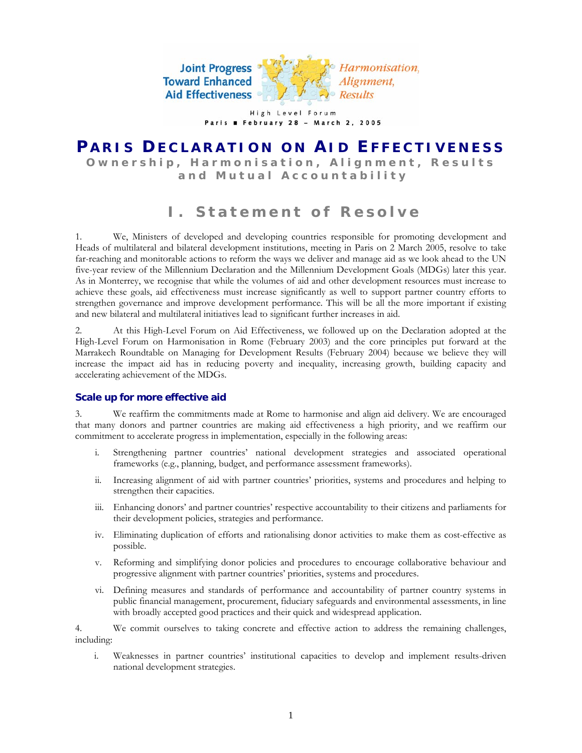

Paris **E** February 28 - March 2, 2005

# **P ARIS D ECLARATION ON A ID E FFECTIVENESS**

**Ownership, Harmonisation, Alignment, Results and Mutual Accountability** 

# **I . Statement of Resolve**

1. We, Ministers of developed and developing countries responsible for promoting development and Heads of multilateral and bilateral development institutions, meeting in Paris on 2 March 2005, resolve to take far-reaching and monitorable actions to reform the ways we deliver and manage aid as we look ahead to the UN five-year review of the Millennium Declaration and the Millennium Development Goals (MDGs) later this year. As in Monterrey, we recognise that while the volumes of aid and other development resources must increase to achieve these goals, aid effectiveness must increase significantly as well to support partner country efforts to strengthen governance and improve development performance. This will be all the more important if existing and new bilateral and multilateral initiatives lead to significant further increases in aid.

2. At this High-Level Forum on Aid Effectiveness, we followed up on the Declaration adopted at the High-Level Forum on Harmonisation in Rome (February 2003) and the core principles put forward at the Marrakech Roundtable on Managing for Development Results (February 2004) because we believe they will increase the impact aid has in reducing poverty and inequality, increasing growth, building capacity and accelerating achievement of the MDGs.

## **Scale up for more effective aid**

3. We reaffirm the commitments made at Rome to harmonise and align aid delivery. We are encouraged that many donors and partner countries are making aid effectiveness a high priority, and we reaffirm our commitment to accelerate progress in implementation, especially in the following areas:

- i. Strengthening partner countries' national development strategies and associated operational frameworks (e.g., planning, budget, and performance assessment frameworks).
- ii. Increasing alignment of aid with partner countries' priorities, systems and procedures and helping to strengthen their capacities.
- iii. Enhancing donors' and partner countries' respective accountability to their citizens and parliaments for their development policies, strategies and performance.
- iv. Eliminating duplication of efforts and rationalising donor activities to make them as cost-effective as possible.
- v. Reforming and simplifying donor policies and procedures to encourage collaborative behaviour and progressive alignment with partner countries' priorities, systems and procedures.
- vi. Defining measures and standards of performance and accountability of partner country systems in public financial management, procurement, fiduciary safeguards and environmental assessments, in line with broadly accepted good practices and their quick and widespread application.

4. We commit ourselves to taking concrete and effective action to address the remaining challenges, including:

i. Weaknesses in partner countries' institutional capacities to develop and implement results-driven national development strategies.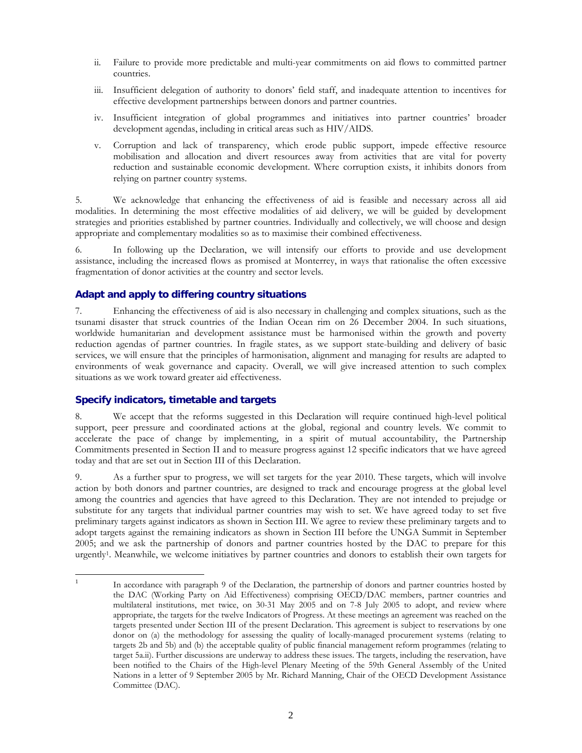- ii. Failure to provide more predictable and multi-year commitments on aid flows to committed partner countries.
- iii. Insufficient delegation of authority to donors' field staff, and inadequate attention to incentives for effective development partnerships between donors and partner countries.
- iv. Insufficient integration of global programmes and initiatives into partner countries' broader development agendas, including in critical areas such as HIV/AIDS.
- v. Corruption and lack of transparency, which erode public support, impede effective resource mobilisation and allocation and divert resources away from activities that are vital for poverty reduction and sustainable economic development. Where corruption exists, it inhibits donors from relying on partner country systems.

5. We acknowledge that enhancing the effectiveness of aid is feasible and necessary across all aid modalities. In determining the most effective modalities of aid delivery, we will be guided by development strategies and priorities established by partner countries. Individually and collectively, we will choose and design appropriate and complementary modalities so as to maximise their combined effectiveness.

6. In following up the Declaration, we will intensify our efforts to provide and use development assistance, including the increased flows as promised at Monterrey, in ways that rationalise the often excessive fragmentation of donor activities at the country and sector levels.

## **Adapt and apply to differing country situations**

7. Enhancing the effectiveness of aid is also necessary in challenging and complex situations, such as the tsunami disaster that struck countries of the Indian Ocean rim on 26 December 2004. In such situations, worldwide humanitarian and development assistance must be harmonised within the growth and poverty reduction agendas of partner countries. In fragile states, as we support state-building and delivery of basic services, we will ensure that the principles of harmonisation, alignment and managing for results are adapted to environments of weak governance and capacity. Overall, we will give increased attention to such complex situations as we work toward greater aid effectiveness.

## **Specify indicators, timetable and targets**

We accept that the reforms suggested in this Declaration will require continued high-level political support, peer pressure and coordinated actions at the global, regional and country levels. We commit to accelerate the pace of change by implementing, in a spirit of mutual accountability, the Partnership Commitments presented in Section II and to measure progress against 12 specific indicators that we have agreed today and that are set out in Section III of this Declaration.

9. As a further spur to progress, we will set targets for the year 2010. These targets, which will involve action by both donors and partner countries, are designed to track and encourage progress at the global level among the countries and agencies that have agreed to this Declaration. They are not intended to prejudge or substitute for any targets that individual partner countries may wish to set. We have agreed today to set five preliminary targets against indicators as shown in Section III. We agree to review these preliminary targets and to adopt targets against the remaining indicators as shown in Section III before the UNGA Summit in September 2005; and we ask the partnership of donors and partner countries hosted by the DAC to prepare for this urgently1. Meanwhile, we welcome initiatives by partner countries and donors to establish their own targets for

l In accordance with paragraph 9 of the Declaration, the partnership of donors and partner countries hosted by the DAC (Working Party on Aid Effectiveness) comprising OECD/DAC members, partner countries and multilateral institutions, met twice, on 30-31 May 2005 and on 7-8 July 2005 to adopt, and review where appropriate, the targets for the twelve Indicators of Progress. At these meetings an agreement was reached on the targets presented under Section III of the present Declaration. This agreement is subject to reservations by one donor on (a) the methodology for assessing the quality of locally-managed procurement systems (relating to targets 2b and 5b) and (b) the acceptable quality of public financial management reform programmes (relating to target 5a.ii). Further discussions are underway to address these issues. The targets, including the reservation, have been notified to the Chairs of the High-level Plenary Meeting of the 59th General Assembly of the United Nations in a letter of 9 September 2005 by Mr. Richard Manning, Chair of the OECD Development Assistance Committee (DAC).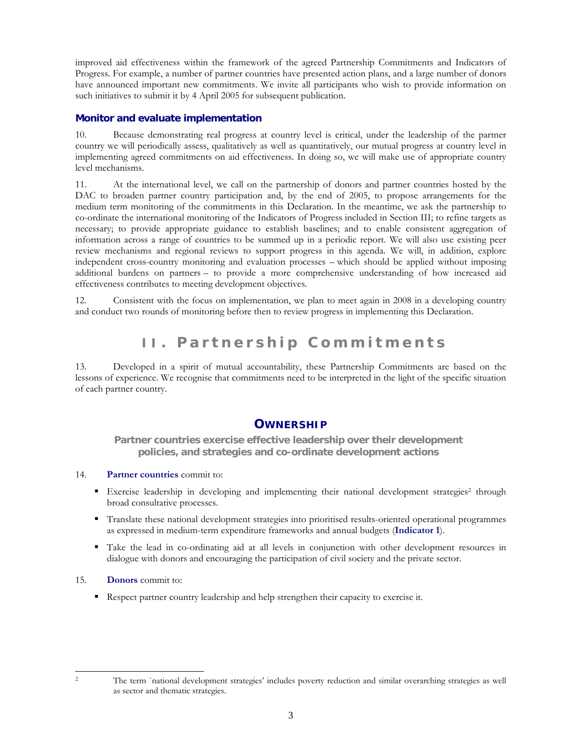improved aid effectiveness within the framework of the agreed Partnership Commitments and Indicators of Progress. For example, a number of partner countries have presented action plans, and a large number of donors have announced important new commitments. We invite all participants who wish to provide information on such initiatives to submit it by 4 April 2005 for subsequent publication.

## **Monitor and evaluate implementation**

10. Because demonstrating real progress at country level is critical, under the leadership of the partner country we will periodically assess, qualitatively as well as quantitatively, our mutual progress at country level in implementing agreed commitments on aid effectiveness. In doing so, we will make use of appropriate country level mechanisms.

11. At the international level, we call on the partnership of donors and partner countries hosted by the DAC to broaden partner country participation and, by the end of 2005, to propose arrangements for the medium term monitoring of the commitments in this Declaration. In the meantime, we ask the partnership to co-ordinate the international monitoring of the Indicators of Progress included in Section III; to refine targets as necessary; to provide appropriate guidance to establish baselines; and to enable consistent aggregation of information across a range of countries to be summed up in a periodic report. We will also use existing peer review mechanisms and regional reviews to support progress in this agenda. We will, in addition, explore independent cross-country monitoring and evaluation processes – which should be applied without imposing additional burdens on partners – to provide a more comprehensive understanding of how increased aid effectiveness contributes to meeting development objectives.

12. Consistent with the focus on implementation, we plan to meet again in 2008 in a developing country and conduct two rounds of monitoring before then to review progress in implementing this Declaration.

# **I I . Partnership Commitments**

13. Developed in a spirit of mutual accountability, these Partnership Commitments are based on the lessons of experience. We recognise that commitments need to be interpreted in the light of the specific situation of each partner country.

## **OWNERSHIP**

**Partner countries exercise effective leadership over their development policies, and strategies and co-ordinate development actions** 

## 14. **Partner countries** commit to:

- **Exercise leadership in developing and implementing their national development strategies<sup>2</sup> through** broad consultative processes.
- Translate these national development strategies into prioritised results-oriented operational programmes as expressed in medium-term expenditure frameworks and annual budgets (**Indicator 1**).
- Take the lead in co-ordinating aid at all levels in conjunction with other development resources in dialogue with donors and encouraging the participation of civil society and the private sector.

#### 15. **Donors** commit to:

Respect partner country leadership and help strengthen their capacity to exercise it.

 $\overline{a}$ 

<sup>&</sup>lt;sup>2</sup> The term `national development strategies' includes poverty reduction and similar overarching strategies as well as sector and thematic strategies.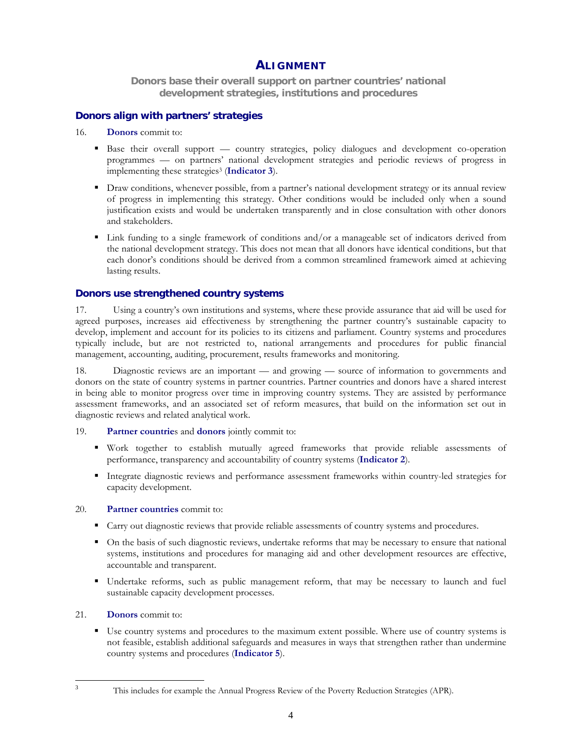## **ALIGNMENT**

**Donors base their overall support on partner countries' national development strategies, institutions and procedures** 

## **Donors align with partners' strategies**

## 16. **Donors** commit to:

- Base their overall support country strategies, policy dialogues and development co-operation programmes — on partners' national development strategies and periodic reviews of progress in implementing these strategies3 (**Indicator 3**).
- Draw conditions, whenever possible, from a partner's national development strategy or its annual review of progress in implementing this strategy. Other conditions would be included only when a sound justification exists and would be undertaken transparently and in close consultation with other donors and stakeholders.
- Link funding to a single framework of conditions and/or a manageable set of indicators derived from the national development strategy. This does not mean that all donors have identical conditions, but that each donor's conditions should be derived from a common streamlined framework aimed at achieving lasting results.

## **Donors use strengthened country systems**

17. Using a country's own institutions and systems, where these provide assurance that aid will be used for agreed purposes, increases aid effectiveness by strengthening the partner country's sustainable capacity to develop, implement and account for its policies to its citizens and parliament. Country systems and procedures typically include, but are not restricted to, national arrangements and procedures for public financial management, accounting, auditing, procurement, results frameworks and monitoring.

18. Diagnostic reviews are an important — and growing — source of information to governments and donors on the state of country systems in partner countries. Partner countries and donors have a shared interest in being able to monitor progress over time in improving country systems. They are assisted by performance assessment frameworks, and an associated set of reform measures, that build on the information set out in diagnostic reviews and related analytical work.

## 19. **Partner countrie**s and **donors** jointly commit to:

- Work together to establish mutually agreed frameworks that provide reliable assessments of performance, transparency and accountability of country systems (**Indicator 2**).
- Integrate diagnostic reviews and performance assessment frameworks within country-led strategies for capacity development.

## 20. **Partner countries** commit to:

- Carry out diagnostic reviews that provide reliable assessments of country systems and procedures.
- On the basis of such diagnostic reviews, undertake reforms that may be necessary to ensure that national systems, institutions and procedures for managing aid and other development resources are effective, accountable and transparent.
- Undertake reforms, such as public management reform, that may be necessary to launch and fuel sustainable capacity development processes.
- 21. **Donors** commit to:
	- Use country systems and procedures to the maximum extent possible. Where use of country systems is not feasible, establish additional safeguards and measures in ways that strengthen rather than undermine country systems and procedures (**Indicator 5**).

 $\overline{3}$ 

<sup>3</sup> This includes for example the Annual Progress Review of the Poverty Reduction Strategies (APR).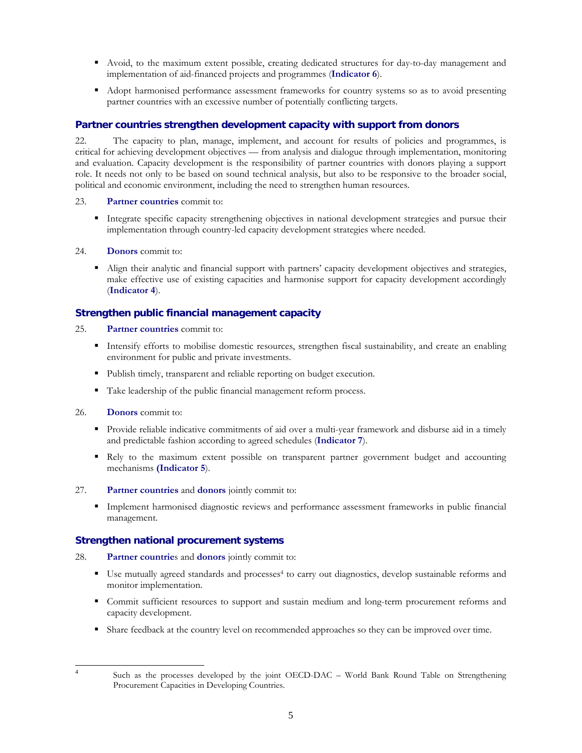- Avoid, to the maximum extent possible, creating dedicated structures for day-to-day management and implementation of aid-financed projects and programmes (**Indicator 6**).
- Adopt harmonised performance assessment frameworks for country systems so as to avoid presenting partner countries with an excessive number of potentially conflicting targets.

## **Partner countries strengthen development capacity with support from donors**

22. The capacity to plan, manage, implement, and account for results of policies and programmes, is critical for achieving development objectives — from analysis and dialogue through implementation, monitoring and evaluation. Capacity development is the responsibility of partner countries with donors playing a support role. It needs not only to be based on sound technical analysis, but also to be responsive to the broader social, political and economic environment, including the need to strengthen human resources.

- 23. **Partner countries** commit to:
	- Integrate specific capacity strengthening objectives in national development strategies and pursue their implementation through country-led capacity development strategies where needed.
- 24. **Donors** commit to:
	- Align their analytic and financial support with partners' capacity development objectives and strategies, make effective use of existing capacities and harmonise support for capacity development accordingly (**Indicator 4**).

## **Strengthen public financial management capacity**

- 25. **Partner countries** commit to:
	- Intensify efforts to mobilise domestic resources, strengthen fiscal sustainability, and create an enabling environment for public and private investments.
	- Publish timely, transparent and reliable reporting on budget execution.
	- Take leadership of the public financial management reform process.
- 26. **Donors** commit to:
	- Provide reliable indicative commitments of aid over a multi-year framework and disburse aid in a timely and predictable fashion according to agreed schedules (**Indicator 7**).
	- Rely to the maximum extent possible on transparent partner government budget and accounting mechanisms **(Indicator 5**).
- 27. **Partner countries** and **donors** jointly commit to:
	- Implement harmonised diagnostic reviews and performance assessment frameworks in public financial management.

## **Strengthen national procurement systems**

- 28. **Partner countrie**s and **donors** jointly commit to:
	- Use mutually agreed standards and processes<sup>4</sup> to carry out diagnostics, develop sustainable reforms and monitor implementation.
	- Commit sufficient resources to support and sustain medium and long-term procurement reforms and capacity development.
	- Share feedback at the country level on recommended approaches so they can be improved over time.

 $\frac{1}{4}$ 

Such as the processes developed by the joint OECD-DAC – World Bank Round Table on Strengthening Procurement Capacities in Developing Countries.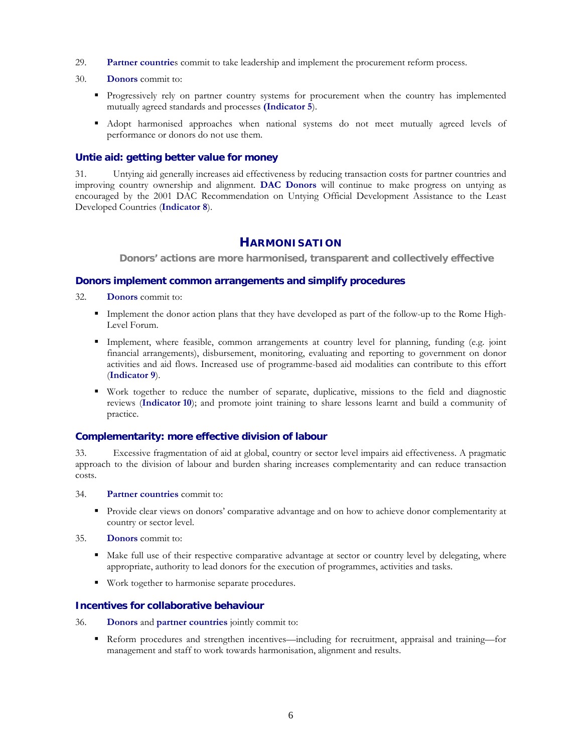- 29. **Partner countrie**s commit to take leadership and implement the procurement reform process.
- 30. **Donors** commit to:
	- **Progressively rely on partner country systems for procurement when the country has implemented** mutually agreed standards and processes **(Indicator 5**).
	- Adopt harmonised approaches when national systems do not meet mutually agreed levels of performance or donors do not use them.

## **Untie aid: getting better value for money**

31. Untying aid generally increases aid effectiveness by reducing transaction costs for partner countries and improving country ownership and alignment. **DAC Donors** will continue to make progress on untying as encouraged by the 2001 DAC Recommendation on Untying Official Development Assistance to the Least Developed Countries (**Indicator 8**).

## **HARMONISATION**

**Donors' actions are more harmonised, transparent and collectively effective** 

## **Donors implement common arrangements and simplify procedures**

- 32. **Donors** commit to:
	- Implement the donor action plans that they have developed as part of the follow-up to the Rome High-Level Forum.
	- Implement, where feasible, common arrangements at country level for planning, funding (e.g. joint financial arrangements), disbursement, monitoring, evaluating and reporting to government on donor activities and aid flows. Increased use of programme-based aid modalities can contribute to this effort (**Indicator 9**).
	- Work together to reduce the number of separate, duplicative, missions to the field and diagnostic reviews (**Indicator 10**); and promote joint training to share lessons learnt and build a community of practice.

## **Complementarity: more effective division of labour**

33. Excessive fragmentation of aid at global, country or sector level impairs aid effectiveness. A pragmatic approach to the division of labour and burden sharing increases complementarity and can reduce transaction costs.

- 34. **Partner countries** commit to:
	- Provide clear views on donors' comparative advantage and on how to achieve donor complementarity at country or sector level.
- 35. **Donors** commit to:
	- Make full use of their respective comparative advantage at sector or country level by delegating, where appropriate, authority to lead donors for the execution of programmes, activities and tasks.
	- Work together to harmonise separate procedures.

## **Incentives for collaborative behaviour**

- 36. **Donors** and **partner countries** jointly commit to:
	- Reform procedures and strengthen incentives—including for recruitment, appraisal and training—for management and staff to work towards harmonisation, alignment and results.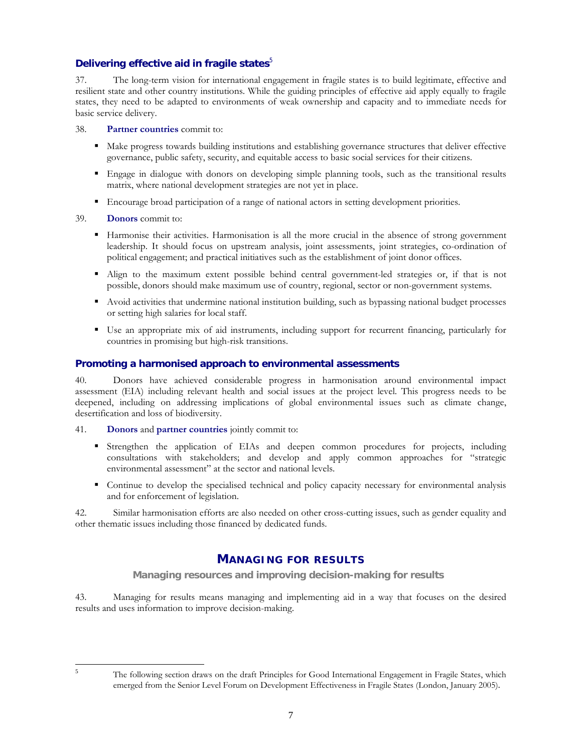## **Delivering effective aid in fragile states**<sup>5</sup>

37. The long-term vision for international engagement in fragile states is to build legitimate, effective and resilient state and other country institutions. While the guiding principles of effective aid apply equally to fragile states, they need to be adapted to environments of weak ownership and capacity and to immediate needs for basic service delivery.

#### 38. **Partner countries** commit to:

- Make progress towards building institutions and establishing governance structures that deliver effective governance, public safety, security, and equitable access to basic social services for their citizens.
- Engage in dialogue with donors on developing simple planning tools, such as the transitional results matrix, where national development strategies are not yet in place.
- Encourage broad participation of a range of national actors in setting development priorities.
- 39. **Donors** commit to:
	- Harmonise their activities. Harmonisation is all the more crucial in the absence of strong government leadership. It should focus on upstream analysis, joint assessments, joint strategies, co-ordination of political engagement; and practical initiatives such as the establishment of joint donor offices.
	- Align to the maximum extent possible behind central government-led strategies or, if that is not possible, donors should make maximum use of country, regional, sector or non-government systems.
	- Avoid activities that undermine national institution building, such as bypassing national budget processes or setting high salaries for local staff.
	- Use an appropriate mix of aid instruments, including support for recurrent financing, particularly for countries in promising but high-risk transitions.

## **Promoting a harmonised approach to environmental assessments**

40. Donors have achieved considerable progress in harmonisation around environmental impact assessment (EIA) including relevant health and social issues at the project level. This progress needs to be deepened, including on addressing implications of global environmental issues such as climate change, desertification and loss of biodiversity.

- 41. **Donors** and **partner countries** jointly commit to:
	- Strengthen the application of EIAs and deepen common procedures for projects, including consultations with stakeholders; and develop and apply common approaches for "strategic environmental assessment" at the sector and national levels.
	- Continue to develop the specialised technical and policy capacity necessary for environmental analysis and for enforcement of legislation.

42. Similar harmonisation efforts are also needed on other cross-cutting issues, such as gender equality and other thematic issues including those financed by dedicated funds.

## **MANAGING FOR RESULTS**

**Managing resources and improving decision-making for results** 

43. Managing for results means managing and implementing aid in a way that focuses on the desired results and uses information to improve decision-making.

 $\overline{5}$ 

The following section draws on the draft Principles for Good International Engagement in Fragile States, which emerged from the Senior Level Forum on Development Effectiveness in Fragile States (London, January 2005).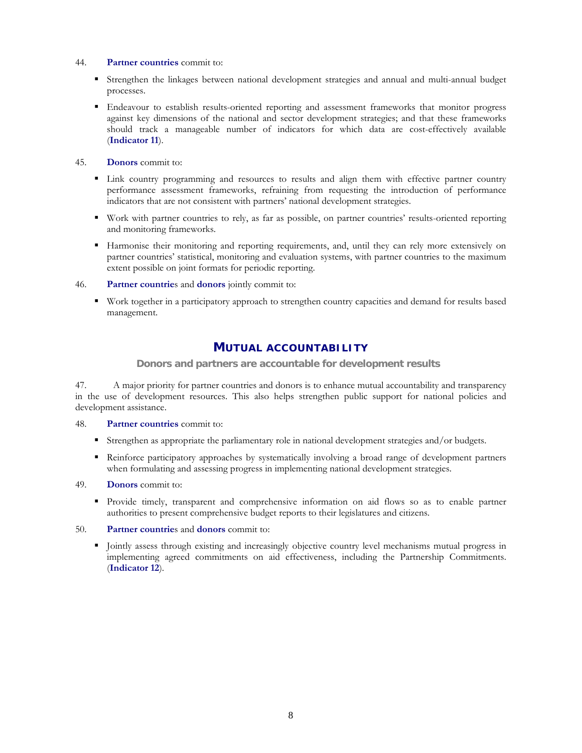#### 44. **Partner countries** commit to:

- Strengthen the linkages between national development strategies and annual and multi-annual budget processes.
- Endeavour to establish results-oriented reporting and assessment frameworks that monitor progress against key dimensions of the national and sector development strategies; and that these frameworks should track a manageable number of indicators for which data are cost-effectively available (**Indicator 11**).
- 45. **Donors** commit to:
	- Link country programming and resources to results and align them with effective partner country performance assessment frameworks, refraining from requesting the introduction of performance indicators that are not consistent with partners' national development strategies.
	- Work with partner countries to rely, as far as possible, on partner countries' results-oriented reporting and monitoring frameworks.
	- Harmonise their monitoring and reporting requirements, and, until they can rely more extensively on partner countries' statistical, monitoring and evaluation systems, with partner countries to the maximum extent possible on joint formats for periodic reporting.
- 46. **Partner countrie**s and **donors** jointly commit to:
	- Work together in a participatory approach to strengthen country capacities and demand for results based management.

## **MUTUAL ACCOUNTABILITY**

**Donors and partners are accountable for development results** 

47. A major priority for partner countries and donors is to enhance mutual accountability and transparency in the use of development resources. This also helps strengthen public support for national policies and development assistance.

- 48. **Partner countries** commit to:
	- Strengthen as appropriate the parliamentary role in national development strategies and/or budgets.
	- Reinforce participatory approaches by systematically involving a broad range of development partners when formulating and assessing progress in implementing national development strategies.
- 49. **Donors** commit to:
	- Provide timely, transparent and comprehensive information on aid flows so as to enable partner authorities to present comprehensive budget reports to their legislatures and citizens.
- 50. **Partner countrie**s and **donors** commit to:
	- Jointly assess through existing and increasingly objective country level mechanisms mutual progress in implementing agreed commitments on aid effectiveness, including the Partnership Commitments. (**Indicator 12**).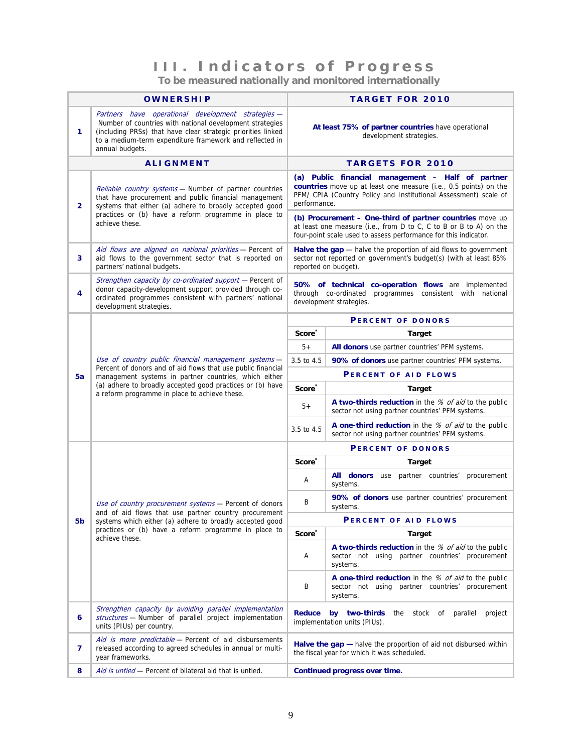# **III . Indicators of Progress**

**To be measured nationally and monitored internationally** 

| <b>OWNERSHIP</b> |                                                                                                                                                                                                                                                                                             | <b>TARGET FOR 2010</b>                                                                                                                                                                                    |                                                                                                                                                                                                  |
|------------------|---------------------------------------------------------------------------------------------------------------------------------------------------------------------------------------------------------------------------------------------------------------------------------------------|-----------------------------------------------------------------------------------------------------------------------------------------------------------------------------------------------------------|--------------------------------------------------------------------------------------------------------------------------------------------------------------------------------------------------|
| 1                | Partners have operational development strategies -<br>Number of countries with national development strategies<br>(including PRSs) that have clear strategic priorities linked<br>to a medium-term expenditure framework and reflected in<br>annual budgets.                                |                                                                                                                                                                                                           | At least 75% of partner countries have operational<br>development strategies.                                                                                                                    |
|                  | <b>ALIGNMENT</b>                                                                                                                                                                                                                                                                            |                                                                                                                                                                                                           | <b>TARGETS FOR 2010</b>                                                                                                                                                                          |
| $\overline{2}$   | Reliable country systems - Number of partner countries<br>that have procurement and public financial management<br>systems that either (a) adhere to broadly accepted good<br>practices or (b) have a reform programme in place to<br>achieve these.                                        | (a) Public financial management - Half of partner<br>countries move up at least one measure (i.e., 0.5 points) on the<br>PFM/ CPIA (Country Policy and Institutional Assessment) scale of<br>performance. |                                                                                                                                                                                                  |
|                  |                                                                                                                                                                                                                                                                                             |                                                                                                                                                                                                           | (b) Procurement - One-third of partner countries move up<br>at least one measure (i.e., from D to C, C to B or B to A) on the<br>four-point scale used to assess performance for this indicator. |
| 3                | Aid flows are aligned on national priorities - Percent of<br>aid flows to the government sector that is reported on<br>partners' national budgets.                                                                                                                                          | Halve the gap - halve the proportion of aid flows to government<br>sector not reported on government's budget(s) (with at least 85%<br>reported on budget).                                               |                                                                                                                                                                                                  |
| 4                | Strengthen capacity by co-ordinated support - Percent of<br>donor capacity-development support provided through co-<br>ordinated programmes consistent with partners' national<br>development strategies.                                                                                   | 50% of technical co-operation flows are implemented<br>through co-ordinated programmes consistent with national<br>development strategies.                                                                |                                                                                                                                                                                                  |
|                  |                                                                                                                                                                                                                                                                                             |                                                                                                                                                                                                           | <b>PERCENT OF DONORS</b>                                                                                                                                                                         |
|                  |                                                                                                                                                                                                                                                                                             | Score <sup>*</sup>                                                                                                                                                                                        | <b>Target</b>                                                                                                                                                                                    |
|                  |                                                                                                                                                                                                                                                                                             | $5+$                                                                                                                                                                                                      | All donors use partner countries' PFM systems.                                                                                                                                                   |
|                  | Use of country public financial management systems -<br>Percent of donors and of aid flows that use public financial<br>management systems in partner countries, which either<br>(a) adhere to broadly accepted good practices or (b) have<br>a reform programme in place to achieve these. | 3.5 to 4.5                                                                                                                                                                                                | 90% of donors use partner countries' PFM systems.                                                                                                                                                |
| 5a               |                                                                                                                                                                                                                                                                                             | <b>PERCENT OF AID FLOWS</b>                                                                                                                                                                               |                                                                                                                                                                                                  |
|                  |                                                                                                                                                                                                                                                                                             | Score <sup>®</sup>                                                                                                                                                                                        | <b>Target</b>                                                                                                                                                                                    |
|                  |                                                                                                                                                                                                                                                                                             | $5+$                                                                                                                                                                                                      | A two-thirds reduction in the % of aid to the public<br>sector not using partner countries' PFM systems.                                                                                         |
|                  |                                                                                                                                                                                                                                                                                             | 3.5 to 4.5                                                                                                                                                                                                | <b>A one-third reduction</b> in the % of aid to the public<br>sector not using partner countries' PFM systems.                                                                                   |
|                  | Use of country procurement systems - Percent of donors<br>and of aid flows that use partner country procurement<br>systems which either (a) adhere to broadly accepted good<br>practices or (b) have a reform programme in place to                                                         |                                                                                                                                                                                                           | <b>PERCENT OF DONORS</b>                                                                                                                                                                         |
|                  |                                                                                                                                                                                                                                                                                             | Score <sup>*</sup>                                                                                                                                                                                        | <b>Target</b>                                                                                                                                                                                    |
|                  |                                                                                                                                                                                                                                                                                             | Α                                                                                                                                                                                                         | All donors use partner countries'<br>procurement<br>systems.                                                                                                                                     |
|                  |                                                                                                                                                                                                                                                                                             | B                                                                                                                                                                                                         | 90% of donors use partner countries' procurement<br>systems.                                                                                                                                     |
| 5b               |                                                                                                                                                                                                                                                                                             |                                                                                                                                                                                                           | <b>PERCENT OF AID FLOWS</b>                                                                                                                                                                      |
|                  |                                                                                                                                                                                                                                                                                             | Score <sup>*</sup>                                                                                                                                                                                        |                                                                                                                                                                                                  |
|                  |                                                                                                                                                                                                                                                                                             |                                                                                                                                                                                                           | <b>Target</b>                                                                                                                                                                                    |
|                  | achieve these.                                                                                                                                                                                                                                                                              | Α                                                                                                                                                                                                         | A two-thirds reduction in the % of aid to the public<br>sector not using partner countries' procurement<br>systems.                                                                              |
|                  |                                                                                                                                                                                                                                                                                             | Β                                                                                                                                                                                                         | A one-third reduction in the % of aid to the public<br>sector not using partner countries' procurement<br>systems.                                                                               |
| 6                | Strengthen capacity by avoiding parallel implementation<br>structures - Number of parallel project implementation<br>units (PIUs) per country.                                                                                                                                              | Reduce                                                                                                                                                                                                    | by two-thirds the stock of parallel<br>project<br>implementation units (PIUs).                                                                                                                   |
| 7                | Aid is more predictable - Percent of aid disbursements<br>released according to agreed schedules in annual or multi-<br>year frameworks.                                                                                                                                                    |                                                                                                                                                                                                           | <b>Halve the gap –</b> halve the proportion of aid not disbursed within<br>the fiscal year for which it was scheduled.                                                                           |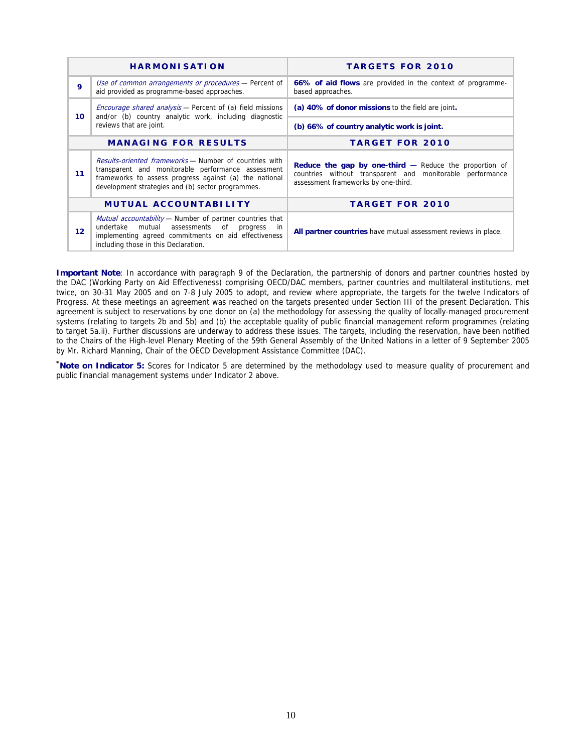| <b>HARMONISATION</b>         |                                                                                                                                                                                                                                    | <b>TARGETS FOR 2010</b>                                                                                                                                                        |  |
|------------------------------|------------------------------------------------------------------------------------------------------------------------------------------------------------------------------------------------------------------------------------|--------------------------------------------------------------------------------------------------------------------------------------------------------------------------------|--|
| 9                            | Use of common arrangements or procedures – Percent of<br>aid provided as programme-based approaches.                                                                                                                               | 66% of aid flows are provided in the context of programme-<br>based approaches.                                                                                                |  |
| 10                           | <i>Encourage shared analysis</i> – Percent of (a) field missions<br>and/or (b) country analytic work, including diagnostic<br>reviews that are joint.                                                                              | (a) 40% of donor missions to the field are joint.                                                                                                                              |  |
|                              |                                                                                                                                                                                                                                    | (b) 66% of country analytic work is joint.                                                                                                                                     |  |
| <b>MANAGING FOR RESULTS</b>  |                                                                                                                                                                                                                                    | <b>TARGET FOR 2010</b>                                                                                                                                                         |  |
| 11                           | <i>Results-oriented frameworks</i> — Number of countries with<br>transparent and monitorable performance assessment<br>frameworks to assess progress against (a) the national<br>development strategies and (b) sector programmes. | <b>Reduce the gap by one-third <math>-</math></b> Reduce the proportion of<br>countries without transparent and monitorable performance<br>assessment frameworks by one-third. |  |
| <b>MUTUAL ACCOUNTABILITY</b> |                                                                                                                                                                                                                                    | <b>TARGET FOR 2010</b>                                                                                                                                                         |  |
| 12                           | <i>Mutual accountability</i> - Number of partner countries that<br>undertake mutual assessments of<br>progress<br>in.<br>implementing agreed commitments on aid effectiveness<br>including those in this Declaration.              | All partner countries have mutual assessment reviews in place.                                                                                                                 |  |

**Important Note**: In accordance with paragraph 9 of the Declaration, the partnership of donors and partner countries hosted by the DAC (Working Party on Aid Effectiveness) comprising OECD/DAC members, partner countries and multilateral institutions, met twice, on 30-31 May 2005 and on 7-8 July 2005 to adopt, and review where appropriate, the targets for the twelve Indicators of Progress. At these meetings an agreement was reached on the targets presented under Section III of the present Declaration. This agreement is subject to reservations by one donor on (a) the methodology for assessing the quality of locally-managed procurement systems (relating to targets 2b and 5b) and (b) the acceptable quality of public financial management reform programmes (relating to target 5a.ii). Further discussions are underway to address these issues. The targets, including the reservation, have been notified to the Chairs of the High-level Plenary Meeting of the 59th General Assembly of the United Nations in a letter of 9 September 2005 by Mr. Richard Manning, Chair of the OECD Development Assistance Committee (DAC).

**\* Note on Indicator 5:** Scores for Indicator 5 are determined by the methodology used to measure quality of procurement and public financial management systems under Indicator 2 above.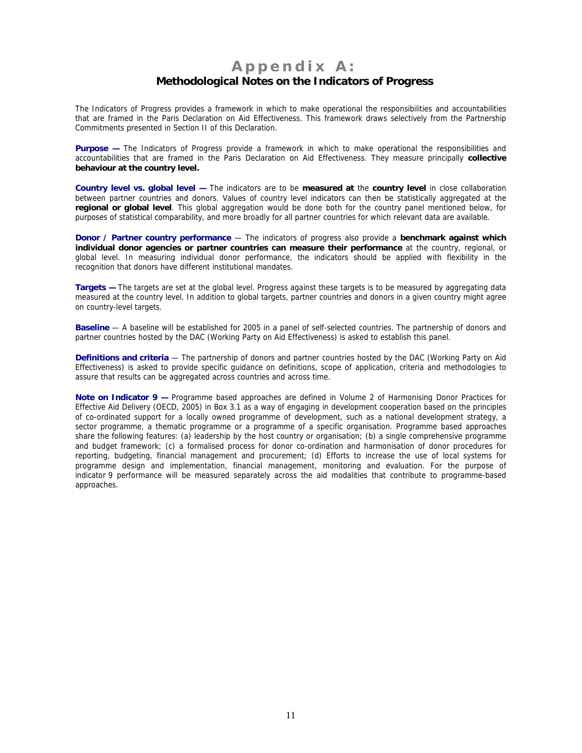## **Appendix A: Methodological Notes on the Indicators of Progress**

The Indicators of Progress provides a framework in which to make operational the responsibilities and accountabilities that are framed in the Paris Declaration on Aid Effectiveness. This framework draws selectively from the Partnership Commitments presented in Section II of this Declaration.

**Purpose —** The Indicators of Progress provide a framework in which to make operational the responsibilities and accountabilities that are framed in the Paris Declaration on Aid Effectiveness. They measure principally **collective behaviour at the country level.**

**Country level vs. global level —** The indicators are to be **measured at** the **country level** in close collaboration between partner countries and donors. Values of country level indicators can then be statistically aggregated at the **regional or global level**. This global aggregation would be done both for the country panel mentioned below, for purposes of statistical comparability, and more broadly for all partner countries for which relevant data are available.

**Donor / Partner country performance** — The indicators of progress also provide a **benchmark against which individual donor agencies or partner countries can measure their performance** at the country, regional, or global level. In measuring individual donor performance, the indicators should be applied with flexibility in the recognition that donors have different institutional mandates.

**Targets —** The targets are set at the global level. Progress against these targets is to be measured by aggregating data measured at the country level. In addition to global targets, partner countries and donors in a given country might agree on country-level targets.

**Baseline** — A baseline will be established for 2005 in a panel of self-selected countries. The partnership of donors and partner countries hosted by the DAC (Working Party on Aid Effectiveness) is asked to establish this panel.

**Definitions and criteria** — The partnership of donors and partner countries hosted by the DAC (Working Party on Aid Effectiveness) is asked to provide specific guidance on definitions, scope of application, criteria and methodologies to assure that results can be aggregated across countries and across time.

**Note on Indicator 9 —** Programme based approaches are defined in Volume 2 of Harmonising Donor Practices for Effective Aid Delivery (OECD, 2005) in Box 3.1 as a way of engaging in development cooperation based on the principles of co-ordinated support for a locally owned programme of development, such as a national development strategy, a sector programme, a thematic programme or a programme of a specific organisation. Programme based approaches share the following features: (a) leadership by the host country or organisation; (b) a single comprehensive programme and budget framework; (c) a formalised process for donor co-ordination and harmonisation of donor procedures for reporting, budgeting, financial management and procurement; (d) Efforts to increase the use of local systems for programme design and implementation, financial management, monitoring and evaluation. For the purpose of indicator 9 performance will be measured separately across the aid modalities that contribute to programme-based approaches.